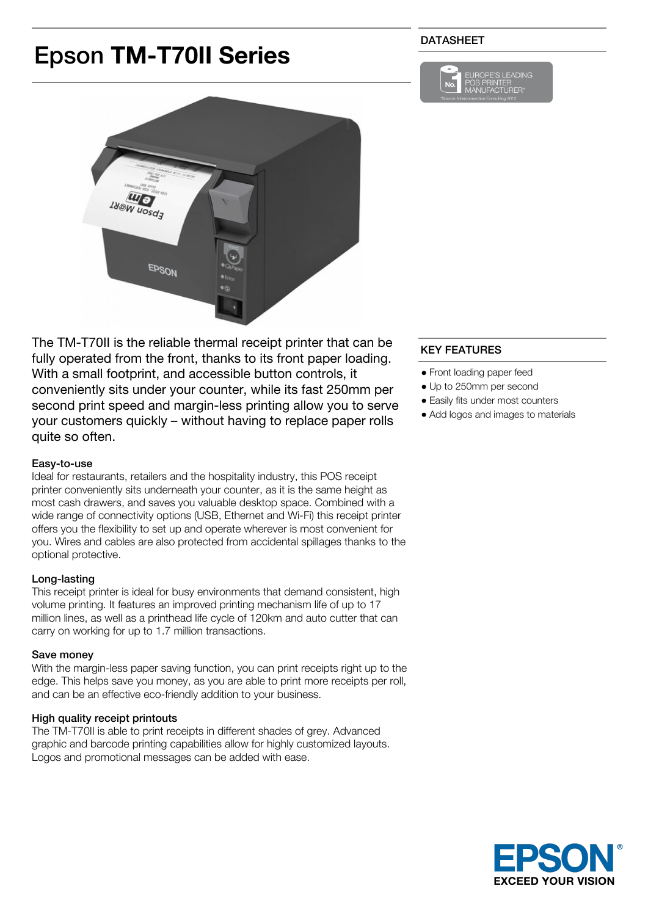# Epson **TM-T70II Series**

# DATASHEET





The TM-T70II is the reliable thermal receipt printer that can be fully operated from the front, thanks to its front paper loading. With a small footprint, and accessible button controls, it conveniently sits under your counter, while its fast 250mm per second print speed and margin-less printing allow you to serve your customers quickly – without having to replace paper rolls quite so often.

#### Easy-to-use

Ideal for restaurants, retailers and the hospitality industry, this POS receipt printer conveniently sits underneath your counter, as it is the same height as most cash drawers, and saves you valuable desktop space. Combined with a wide range of connectivity options (USB, Ethernet and Wi-Fi) this receipt printer offers you the flexibility to set up and operate wherever is most convenient for you. Wires and cables are also protected from accidental spillages thanks to the optional protective.

#### Long-lasting

This receipt printer is ideal for busy environments that demand consistent, high volume printing. It features an improved printing mechanism life of up to 17 million lines, as well as a printhead life cycle of 120km and auto cutter that can carry on working for up to 1.7 million transactions.

#### Save money

With the margin-less paper saving function, you can print receipts right up to the edge. This helps save you money, as you are able to print more receipts per roll, and can be an effective eco-friendly addition to your business.

#### High quality receipt printouts

The TM-T70II is able to print receipts in different shades of grey. Advanced graphic and barcode printing capabilities allow for highly customized layouts. Logos and promotional messages can be added with ease.

# KEY FEATURES

- Front loading paper feed
- Up to 250mm per second
- Easily fits under most counters
- Add logos and images to materials